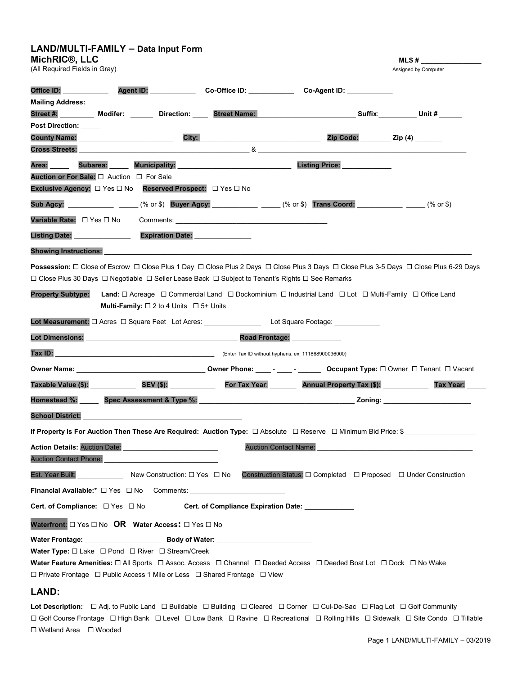|                                                             | LAND/MULTI-FAMILY - Data Input Form                                                                                                                                                                                                 |                                                                                                  |                                                                                                                                                                                                                                    |                                                                                                                                                                                                                                    |
|-------------------------------------------------------------|-------------------------------------------------------------------------------------------------------------------------------------------------------------------------------------------------------------------------------------|--------------------------------------------------------------------------------------------------|------------------------------------------------------------------------------------------------------------------------------------------------------------------------------------------------------------------------------------|------------------------------------------------------------------------------------------------------------------------------------------------------------------------------------------------------------------------------------|
| MichRIC <sup>®</sup> , LLC<br>(All Required Fields in Gray) |                                                                                                                                                                                                                                     |                                                                                                  |                                                                                                                                                                                                                                    | MLS #<br>Assigned by Computer                                                                                                                                                                                                      |
|                                                             |                                                                                                                                                                                                                                     |                                                                                                  |                                                                                                                                                                                                                                    |                                                                                                                                                                                                                                    |
| Office ID:                                                  | <b>Agent ID:</b> Note that the state of the state of the state of the state of the state of the state of the state of the state of the state of the state of the state of the state of the state of the state of the state of the s | Co-Office ID: ___________                                                                        | Co-Agent ID: ___________                                                                                                                                                                                                           |                                                                                                                                                                                                                                    |
| <b>Mailing Address:</b>                                     |                                                                                                                                                                                                                                     |                                                                                                  |                                                                                                                                                                                                                                    |                                                                                                                                                                                                                                    |
| <b>Post Direction:</b>                                      |                                                                                                                                                                                                                                     |                                                                                                  | Street #: Modifer: Notice: Direction: Street Name: Name: Name: Suffix: Unit #                                                                                                                                                      |                                                                                                                                                                                                                                    |
|                                                             | <b>County Name:</b> Sound the Sound of the Sound of the Sound of the Sound of the Sound of the Sound of the Sound of the Sound of the Sound of the Sound of the Sound of the Sound of the Sound of the Sound of the Sound of the So |                                                                                                  |                                                                                                                                                                                                                                    | Zip Code: Zip (4)                                                                                                                                                                                                                  |
| <b>Cross Streets:</b>                                       |                                                                                                                                                                                                                                     |                                                                                                  | 8 <sub>1</sub>                                                                                                                                                                                                                     |                                                                                                                                                                                                                                    |
| Area:                                                       | <b>Subarea:</b>                                                                                                                                                                                                                     |                                                                                                  | Listing Price: _____________                                                                                                                                                                                                       |                                                                                                                                                                                                                                    |
|                                                             | Auction or For Sale: □ Auction □ For Sale                                                                                                                                                                                           |                                                                                                  |                                                                                                                                                                                                                                    |                                                                                                                                                                                                                                    |
|                                                             | Exclusive Agency: □ Yes □ No Reserved Prospect: □ Yes □ No                                                                                                                                                                          |                                                                                                  |                                                                                                                                                                                                                                    |                                                                                                                                                                                                                                    |
| Sub Agcy: <u>______________</u>                             |                                                                                                                                                                                                                                     |                                                                                                  | _____ (% or \$) Buyer Agcy: _________ ____ (% or \$) Trans Coord: ______ ____ ____                                                                                                                                                 | (% or \$)                                                                                                                                                                                                                          |
| Variable Rate: □ Yes □ No                                   |                                                                                                                                                                                                                                     | <b>Comments:</b> Comments:                                                                       |                                                                                                                                                                                                                                    |                                                                                                                                                                                                                                    |
| Listing Date:                                               |                                                                                                                                                                                                                                     | <b>Expiration Date:</b>                                                                          |                                                                                                                                                                                                                                    |                                                                                                                                                                                                                                    |
| <b>Showing Instructions:</b>                                |                                                                                                                                                                                                                                     |                                                                                                  |                                                                                                                                                                                                                                    |                                                                                                                                                                                                                                    |
|                                                             |                                                                                                                                                                                                                                     |                                                                                                  | Possession: □ Close of Escrow □ Close Plus 1 Day □ Close Plus 2 Days □ Close Plus 3 Days □ Close Plus 3-5 Days □ Close Plus 6-29 Days                                                                                              |                                                                                                                                                                                                                                    |
|                                                             |                                                                                                                                                                                                                                     | □ Close Plus 30 Days □ Negotiable □ Seller Lease Back □ Subject to Tenant's Rights □ See Remarks |                                                                                                                                                                                                                                    |                                                                                                                                                                                                                                    |
| <b>Property Subtype:</b>                                    | <b>Multi-Family:</b> $\Box$ 2 to 4 Units $\Box$ 5+ Units                                                                                                                                                                            |                                                                                                  | <b>Land:</b> $\Box$ Acreage $\Box$ Commercial Land $\Box$ Dockominium $\Box$ Industrial Land $\Box$ Lot $\Box$ Multi-Family $\Box$ Office Land                                                                                     |                                                                                                                                                                                                                                    |
|                                                             |                                                                                                                                                                                                                                     |                                                                                                  |                                                                                                                                                                                                                                    |                                                                                                                                                                                                                                    |
|                                                             | <b>Lot Dimensions:</b>                                                                                                                                                                                                              | Road Frontage:                                                                                   |                                                                                                                                                                                                                                    |                                                                                                                                                                                                                                    |
| Tax ID:                                                     |                                                                                                                                                                                                                                     | $(Enter Tax ID without hypothesis, ex: 111868900036000)$                                         |                                                                                                                                                                                                                                    |                                                                                                                                                                                                                                    |
|                                                             |                                                                                                                                                                                                                                     |                                                                                                  | Owner Name: <u>Name:</u> 2012 Commer Phone: 2012 - 2022 Commer Phone: 2022 Commer Device Owner Device Owner Device Owner Device Owner Device Owner Device Owner Device Owner Device Owner Device Owner Device Owner Device Owner D |                                                                                                                                                                                                                                    |
|                                                             | Taxable Value (\$): SEV (\$):                                                                                                                                                                                                       |                                                                                                  | For Tax Year: Annual Property Tax (\$):                                                                                                                                                                                            | Tax Year:                                                                                                                                                                                                                          |
|                                                             |                                                                                                                                                                                                                                     | Homestead %: Spec Assessment & Type %: North Monestead %:                                        |                                                                                                                                                                                                                                    | <b>Zoning:</b> the contract of the contract of the contract of the contract of the contract of the contract of the contract of the contract of the contract of the contract of the contract of the contract of the contract of the |
| <b>School District:</b>                                     |                                                                                                                                                                                                                                     |                                                                                                  |                                                                                                                                                                                                                                    |                                                                                                                                                                                                                                    |
|                                                             |                                                                                                                                                                                                                                     |                                                                                                  | If Property is For Auction Then These Are Required: Auction Type: □ Absolute □ Reserve □ Minimum Bid Price: \$                                                                                                                     |                                                                                                                                                                                                                                    |
|                                                             | Action Details: Auction Date: <b>contained a contained a contained a contained a contained a contained a contained</b>                                                                                                              |                                                                                                  | <b>Auction Contact Name:</b>                                                                                                                                                                                                       |                                                                                                                                                                                                                                    |
|                                                             | Auction Contact Phone: Management Control of Auction Contact Phone:                                                                                                                                                                 |                                                                                                  |                                                                                                                                                                                                                                    |                                                                                                                                                                                                                                    |
|                                                             |                                                                                                                                                                                                                                     |                                                                                                  | Construction Status: □ Completed □ Proposed □ Under Construction                                                                                                                                                                   |                                                                                                                                                                                                                                    |
|                                                             |                                                                                                                                                                                                                                     |                                                                                                  |                                                                                                                                                                                                                                    |                                                                                                                                                                                                                                    |
|                                                             | Cert. of Compliance: $\square$ Yes $\square$ No                                                                                                                                                                                     | <b>Cert. of Compliance Expiration Date:</b>                                                      |                                                                                                                                                                                                                                    |                                                                                                                                                                                                                                    |
|                                                             |                                                                                                                                                                                                                                     |                                                                                                  |                                                                                                                                                                                                                                    |                                                                                                                                                                                                                                    |
|                                                             | Waterfront: O Yes O No OR Water Access: O Yes O No                                                                                                                                                                                  |                                                                                                  |                                                                                                                                                                                                                                    |                                                                                                                                                                                                                                    |
|                                                             |                                                                                                                                                                                                                                     |                                                                                                  |                                                                                                                                                                                                                                    |                                                                                                                                                                                                                                    |
|                                                             | Water Type: $\Box$ Lake $\Box$ Pond $\Box$ River $\Box$ Stream/Creek                                                                                                                                                                |                                                                                                  | Water Feature Amenities: □ All Sports □ Assoc. Access □ Channel □ Deeded Access □ Deeded Boat Lot □ Dock □ No Wake                                                                                                                 |                                                                                                                                                                                                                                    |
|                                                             |                                                                                                                                                                                                                                     | □ Private Frontage □ Public Access 1 Mile or Less □ Shared Frontage □ View                       |                                                                                                                                                                                                                                    |                                                                                                                                                                                                                                    |
|                                                             |                                                                                                                                                                                                                                     |                                                                                                  |                                                                                                                                                                                                                                    |                                                                                                                                                                                                                                    |

## LAND:

Lot Description:  $\Box$  Adj. to Public Land  $\Box$  Buildable  $\Box$  Building  $\Box$  Cleared  $\Box$  Corner  $\Box$  Cul-De-Sac  $\Box$  Flag Lot  $\Box$  Golf Community Golf Course Frontage High Bank Level Low Bank Ravine Recreational Rolling Hills Sidewalk Site Condo Tillable Wetland Area Wooded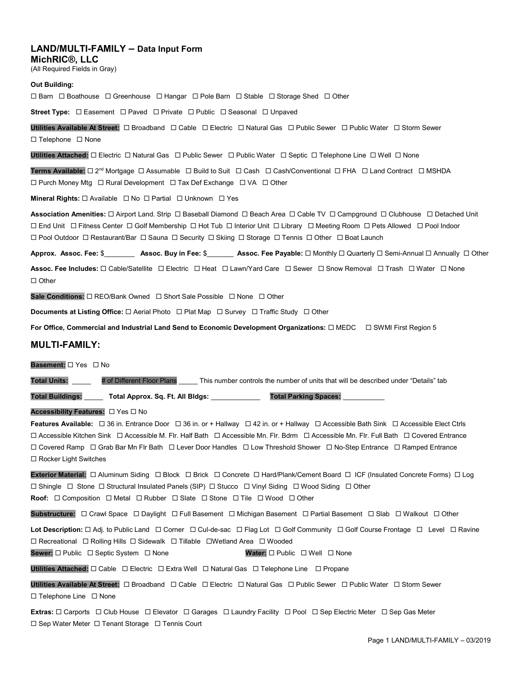## LAND/MULTI-FAMILY – Data Input Form

MichRIC®, LLC

(All Required Fields in Gray)

#### Out Building:

 $\Box$  Barn  $\Box$  Boathouse  $\Box$  Greenhouse  $\Box$  Hangar  $\Box$  Pole Barn  $\Box$  Stable  $\Box$  Storage Shed  $\Box$  Other

**Street Type:**  $\Box$  Easement  $\Box$  Paved  $\Box$  Private  $\Box$  Public  $\Box$  Seasonal  $\Box$  Unpaved

Utilities Available At Street: Broadband Cable Electric Natural Gas Public Sewer Public Water Storm Sewer  $\Box$  Telephone  $\Box$  None

Utilities Attached: Electric Natural Gas Public Sewer Public Water Septic Telephone Line Well None

Terms Available:  $\Box$  2<sup>nd</sup> Mortgage  $\Box$  Assumable  $\Box$  Build to Suit  $\Box$  Cash  $\Box$  Cash/Conventional  $\Box$  FHA  $\Box$  Land Contract  $\Box$  MSHDA □ Purch Money Mtg □ Rural Development □ Tax Def Exchange □ VA □ Other

Mineral Rights:  $\Box$  Available  $\Box$  No  $\Box$  Partial  $\Box$  Unknown  $\Box$  Yes

Association Amenities:  $\Box$  Airport Land. Strip  $\Box$  Baseball Diamond  $\Box$  Beach Area  $\Box$  Cable TV  $\Box$  Campground  $\Box$  Clubhouse  $\Box$  Detached Unit End Unit Fitness Center Golf Membership Hot Tub Interior Unit Library Meeting Room Pets Allowed Pool Indoor Pool Outdoor Restaurant/Bar Sauna Security Skiing Storage Tennis Other Boat Launch

Approx. Assoc. Fee: \$\_\_\_\_\_\_\_\_\_\_ Assoc. Buy in Fee: \$\_\_\_\_\_\_\_\_ Assoc. Fee Payable: □ Monthly □ Quarterly □ Semi-Annual □ Annually □ Other Assoc. Fee Includes:  $\Box$  Cable/Satellite  $\Box$  Electric  $\Box$  Heat  $\Box$  Lawn/Yard Care  $\Box$  Sewer  $\Box$  Snow Removal  $\Box$  Trash  $\Box$  Water  $\Box$  None  $\Box$  Other

Sale Conditions:  $\Box$  REO/Bank Owned  $\Box$  Short Sale Possible  $\Box$  None  $\Box$  Other

**Documents at Listing Office:**  $\Box$  Aerial Photo  $\Box$  Plat Map  $\Box$  Survey  $\Box$  Traffic Study  $\Box$  Other

For Office, Commercial and Industrial Land Send to Economic Development Organizations:  $\Box$  MEDC  $\Box$  SWMI First Region 5

### MULTI-FAMILY:

#### Basement:  $\Box$  Yes  $\Box$  No

Total Units: # of Different Floor Plans This number controls the number of units that will be described under "Details" tab

Total Buildings: \_\_\_\_\_\_ Total Approx. Sq. Ft. All Bldgs: \_\_\_\_\_\_\_\_\_\_\_\_\_\_ Total Parking Spaces:

#### Accessibility Features:  $\Box$  Yes  $\Box$  No

Features Available:  $\Box$  36 in. Entrance Door  $\Box$  36 in. or + Hallway  $\Box$  42 in. or + Hallway  $\Box$  Accessible Bath Sink  $\Box$  Accessible Elect Ctrls Accessible Kitchen Sink Accessible M. Flr. Half Bath Accessible Mn. Flr. Bdrm Accessible Mn. Flr. Full Bath Covered Entrance □ Covered Ramp □ Grab Bar Mn Flr Bath □ Lever Door Handles □ Low Threshold Shower □ No-Step Entrance □ Ramped Entrance □ Rocker Light Switches

Exterior Material:  $\Box$  Aluminum Siding  $\Box$  Block  $\Box$  Brick  $\Box$  Concrete  $\Box$  Hard/Plank/Cement Board  $\Box$  ICF (Insulated Concrete Forms)  $\Box$  Log Shingle Stone Structural Insulated Panels (SIP) Stucco Vinyl Siding Wood Siding Other Roof:  $\Box$  Composition  $\Box$  Metal  $\Box$  Rubber  $\Box$  Slate  $\Box$  Stone  $\Box$  Tile  $\Box$  Wood  $\Box$  Other

Substructure:  $\Box$  Crawl Space  $\Box$  Daylight  $\Box$  Full Basement  $\Box$  Michigan Basement  $\Box$  Partial Basement  $\Box$  Slab  $\Box$  Walkout  $\Box$  Other

Lot Description:  $\Box$  Adj. to Public Land  $\Box$  Corner  $\Box$  Cul-de-sac  $\Box$  Flag Lot  $\Box$  Golf Community  $\Box$  Golf Course Frontage  $\Box$  Level  $\Box$  Ravine □ Recreational □ Rolling Hills □ Sidewalk □ Tillable □ Wetland Area □ Wooded Sewer:  $\Box$  Public  $\Box$  Septic System  $\Box$  None Water:  $\Box$  Public  $\Box$  Well  $\Box$  None

Utilities Attached:  $\Box$  Cable  $\Box$  Electric  $\Box$  Extra Well  $\Box$  Natural Gas  $\Box$  Telephone Line  $\Box$  Propane

Utilities Available At Street:  $\Box$  Broadband  $\Box$  Cable  $\Box$  Electric  $\Box$  Natural Gas  $\Box$  Public Sewer  $\Box$  Public Water  $\Box$  Storm Sewer  $\Box$  Telephone Line  $\Box$  None

Extras:  $\Box$  Carports  $\Box$  Club House  $\Box$  Elevator  $\Box$  Garages  $\Box$  Laundry Facility  $\Box$  Pool  $\Box$  Sep Electric Meter  $\Box$  Sep Gas Meter  $\square$  Sep Water Meter  $\square$  Tenant Storage  $\square$  Tennis Court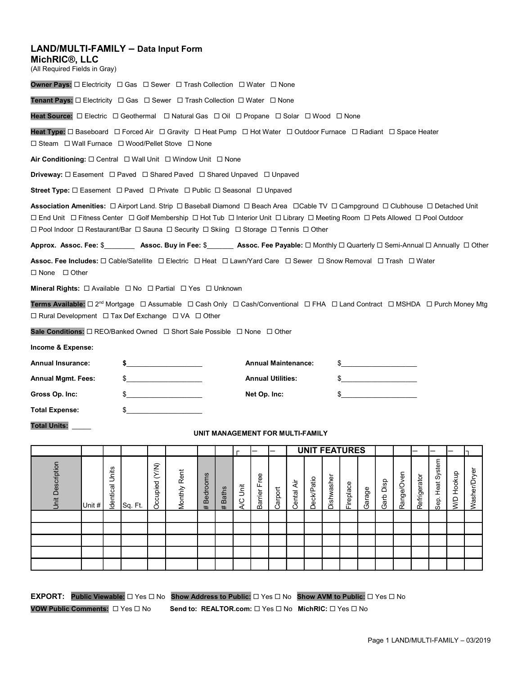### LAND/MULTI-FAMILY – Data Input Form

MichRIC®, LLC

(All Required Fields in Gray)

Owner Pays: □ Electricity □ Gas □ Sewer □ Trash Collection □ Water □ None

**Tenant Pays:**  $\Box$  Electricity  $\Box$  Gas  $\Box$  Sewer  $\Box$  Trash Collection  $\Box$  Water  $\Box$  None

Heat Source:  $\Box$  Electric  $\Box$  Geothermal  $\Box$  Natural Gas  $\Box$  Oil  $\Box$  Propane  $\Box$  Solar  $\Box$  Wood  $\Box$  None

Heat Type:  $\Box$  Baseboard  $\Box$  Forced Air  $\Box$  Gravity  $\Box$  Heat Pump  $\Box$  Hot Water  $\Box$  Outdoor Furnace  $\Box$  Radiant  $\Box$  Space Heater  $\square$  Steam  $\square$  Wall Furnace  $\square$  Wood/Pellet Stove  $\square$  None

Air Conditioning:  $\square$  Central  $\square$  Wall Unit  $\square$  Window Unit  $\square$  None

**Driveway:**  $\Box$  Easement  $\Box$  Paved  $\Box$  Shared  $\Box$  Shared Unpaved  $\Box$  Unpaved

**Street Type:**  $\Box$  Easement  $\Box$  Paved  $\Box$  Private  $\Box$  Public  $\Box$  Seasonal  $\Box$  Unpaved

Association Amenities:  $\Box$  Airport Land. Strip  $\Box$  Baseball Diamond  $\Box$  Beach Area  $\Box$ Cable TV  $\Box$  Campground  $\Box$  Clubhouse  $\Box$  Detached Unit End Unit Fitness Center Golf Membership Hot Tub Interior Unit Library Meeting Room Pets Allowed Pool Outdoor  $\Box$  Pool Indoor  $\Box$  Restaurant/Bar  $\Box$  Sauna  $\Box$  Security  $\Box$  Skiing  $\Box$  Storage  $\Box$  Tennis  $\Box$  Other

| Annual Insurance:  | <b>Annual Maintenance:</b> |  |
|--------------------|----------------------------|--|
| Annual Mgmt. Fees: | <b>Annual Utilities:</b>   |  |
| Gross Op. Inc:     | Net Op. Inc:               |  |
| Total Expense:     |                            |  |

#### UNIT MANAGEMENT FOR MULTI-FAMILY

| $\Box$ Pool Indoor $\Box$ Restaurant/Bar $\Box$ Sauna $\Box$ Security $\Box$ Sting $\Box$ Storage $\Box$ Tennis $\Box$ Other                                                                   |  |                                                                                                                                                                                                                                                                                                                                                                                                                                   |                |              |                 |                                  |          |                            |         |            |                   |                      |           |        |               |            |              |                                          |                      |              |
|------------------------------------------------------------------------------------------------------------------------------------------------------------------------------------------------|--|-----------------------------------------------------------------------------------------------------------------------------------------------------------------------------------------------------------------------------------------------------------------------------------------------------------------------------------------------------------------------------------------------------------------------------------|----------------|--------------|-----------------|----------------------------------|----------|----------------------------|---------|------------|-------------------|----------------------|-----------|--------|---------------|------------|--------------|------------------------------------------|----------------------|--------------|
| Approx. Assoc. Fee: \$__________ Assoc. Buy in Fee: \$________ Assoc. Fee Payable: □ Monthly □ Quarterly □ Semi-Annual □ Annually □ Other                                                      |  |                                                                                                                                                                                                                                                                                                                                                                                                                                   |                |              |                 |                                  |          |                            |         |            |                   |                      |           |        |               |            |              |                                          |                      |              |
| Assoc. Fee Includes: □ Cable/Satellite □ Electric □ Heat □ Lawn/Yard Care □ Sewer □ Snow Removal □ Trash □ Water<br>$\Box$ None $\Box$ Other                                                   |  |                                                                                                                                                                                                                                                                                                                                                                                                                                   |                |              |                 |                                  |          |                            |         |            |                   |                      |           |        |               |            |              |                                          |                      |              |
| Mineral Rights: $\Box$ Available $\Box$ No $\Box$ Partial $\Box$ Yes $\Box$ Unknown                                                                                                            |  |                                                                                                                                                                                                                                                                                                                                                                                                                                   |                |              |                 |                                  |          |                            |         |            |                   |                      |           |        |               |            |              |                                          |                      |              |
| Terms Available: □ 2 <sup>nd</sup> Mortgage □ Assumable □ Cash Only □ Cash/Conventional □ FHA □ Land Contract □ MSHDA □ Purch Money Mtg<br>□ Rural Development □ Tax Def Exchange □ VA □ Other |  |                                                                                                                                                                                                                                                                                                                                                                                                                                   |                |              |                 |                                  |          |                            |         |            |                   |                      |           |        |               |            |              |                                          |                      |              |
|                                                                                                                                                                                                |  |                                                                                                                                                                                                                                                                                                                                                                                                                                   |                |              |                 |                                  |          |                            |         |            |                   |                      |           |        |               |            |              |                                          |                      |              |
| Income & Expense:                                                                                                                                                                              |  |                                                                                                                                                                                                                                                                                                                                                                                                                                   |                |              |                 |                                  |          |                            |         |            |                   |                      |           |        |               |            |              |                                          |                      |              |
| <b>Annual Insurance:</b>                                                                                                                                                                       |  |                                                                                                                                                                                                                                                                                                                                                                                                                                   |                |              |                 |                                  |          | <b>Annual Maintenance:</b> |         |            |                   |                      |           |        |               |            |              |                                          |                      |              |
| <b>Annual Mgmt. Fees:</b>                                                                                                                                                                      |  |                                                                                                                                                                                                                                                                                                                                                                                                                                   |                |              |                 |                                  |          | <b>Annual Utilities:</b>   |         |            |                   |                      |           |        | $\frac{1}{2}$ |            |              |                                          |                      |              |
| Gross Op. Inc:                                                                                                                                                                                 |  |                                                                                                                                                                                                                                                                                                                                                                                                                                   |                |              |                 |                                  |          | Net Op. Inc:               |         |            |                   |                      |           |        |               |            |              |                                          |                      |              |
| <b>Total Expense:</b>                                                                                                                                                                          |  |                                                                                                                                                                                                                                                                                                                                                                                                                                   |                |              |                 |                                  |          |                            |         |            |                   |                      |           |        |               |            |              |                                          |                      |              |
| <b>Total Units:</b>                                                                                                                                                                            |  |                                                                                                                                                                                                                                                                                                                                                                                                                                   |                |              |                 | UNIT MANAGEMENT FOR MULTI-FAMILY |          |                            |         |            |                   |                      |           |        |               |            |              |                                          |                      |              |
|                                                                                                                                                                                                |  |                                                                                                                                                                                                                                                                                                                                                                                                                                   |                |              |                 |                                  |          |                            |         |            |                   | <b>UNIT FEATURES</b> |           |        |               |            |              |                                          |                      |              |
| Unit Description                                                                                                                                                                               |  | $\begin{array}{c}\n\frac{1}{2} \\ \frac{1}{2} \\ \frac{1}{2} \\ \frac{1}{2} \\ \frac{1}{2} \\ \frac{1}{2} \\ \frac{1}{2} \\ \frac{1}{2} \\ \frac{1}{2} \\ \frac{1}{2} \\ \frac{1}{2} \\ \frac{1}{2} \\ \frac{1}{2} \\ \frac{1}{2} \\ \frac{1}{2} \\ \frac{1}{2} \\ \frac{1}{2} \\ \frac{1}{2} \\ \frac{1}{2} \\ \frac{1}{2} \\ \frac{1}{2} \\ \frac{1}{2} \\ \frac{1}{2} \\ \frac{1}{2} \\ \frac{1}{2} \\ \frac{1}{2} \\ \frac{1$ | Occupied (Y/N) | Monthly Rent | <b>Bedrooms</b> | # Baths                          | A/C Unit | Barrier Free               | Carport | Cental Air | <b>Deck/Patio</b> | Dishwasher           | Fireplace | Garage | Garb Disp     | Range/Oven | Refrigerator | System<br>Heat<br>$\overline{\text{se}}$ | Hookup<br><b>O/M</b> | Washer/Dryer |
|                                                                                                                                                                                                |  |                                                                                                                                                                                                                                                                                                                                                                                                                                   |                |              |                 |                                  |          |                            |         |            |                   |                      |           |        |               |            |              |                                          |                      |              |
|                                                                                                                                                                                                |  |                                                                                                                                                                                                                                                                                                                                                                                                                                   |                |              |                 |                                  |          |                            |         |            |                   |                      |           |        |               |            |              |                                          |                      |              |
|                                                                                                                                                                                                |  |                                                                                                                                                                                                                                                                                                                                                                                                                                   |                |              |                 |                                  |          |                            |         |            |                   |                      |           |        |               |            |              |                                          |                      |              |
|                                                                                                                                                                                                |  |                                                                                                                                                                                                                                                                                                                                                                                                                                   |                |              |                 |                                  |          |                            |         |            |                   |                      |           |        |               |            |              |                                          |                      |              |

**EXPORT:** Public Viewable:  $\Box$  Yes  $\Box$  No Show Address to Public:  $\Box$  Yes  $\Box$  No Show AVM to Public:  $\Box$  Yes  $\Box$  No VOW Public Comments:  $\Box$  Yes  $\Box$  No Send to: REALTOR.com:  $\Box$  Yes  $\Box$  No MichRIC:  $\Box$  Yes  $\Box$  No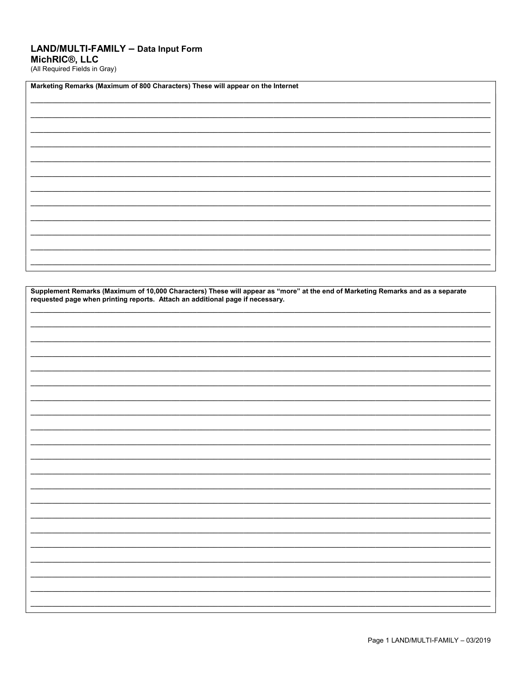# LAND/MULTI-FAMILY - Data Input Form MichRIC®, LLC<br>(All Required Fields in Gray)

| Marketing Remarks (Maximum of 800 Characters) These will appear on the Internet |  |  |  |  |  |  |  |
|---------------------------------------------------------------------------------|--|--|--|--|--|--|--|
|                                                                                 |  |  |  |  |  |  |  |
|                                                                                 |  |  |  |  |  |  |  |
|                                                                                 |  |  |  |  |  |  |  |
|                                                                                 |  |  |  |  |  |  |  |
|                                                                                 |  |  |  |  |  |  |  |
|                                                                                 |  |  |  |  |  |  |  |
|                                                                                 |  |  |  |  |  |  |  |
|                                                                                 |  |  |  |  |  |  |  |
|                                                                                 |  |  |  |  |  |  |  |
|                                                                                 |  |  |  |  |  |  |  |
|                                                                                 |  |  |  |  |  |  |  |
|                                                                                 |  |  |  |  |  |  |  |
|                                                                                 |  |  |  |  |  |  |  |
|                                                                                 |  |  |  |  |  |  |  |

| Supplement Remarks (Maximum of 10,000 Characters) These will appear as "more" at the end of Marketing Remarks and as a separate requested page when printing reports. Attach an additional page if necessary. |  |  |  |  |  |
|---------------------------------------------------------------------------------------------------------------------------------------------------------------------------------------------------------------|--|--|--|--|--|
|                                                                                                                                                                                                               |  |  |  |  |  |
|                                                                                                                                                                                                               |  |  |  |  |  |
|                                                                                                                                                                                                               |  |  |  |  |  |
|                                                                                                                                                                                                               |  |  |  |  |  |
|                                                                                                                                                                                                               |  |  |  |  |  |
|                                                                                                                                                                                                               |  |  |  |  |  |
|                                                                                                                                                                                                               |  |  |  |  |  |
|                                                                                                                                                                                                               |  |  |  |  |  |
|                                                                                                                                                                                                               |  |  |  |  |  |
|                                                                                                                                                                                                               |  |  |  |  |  |
|                                                                                                                                                                                                               |  |  |  |  |  |
|                                                                                                                                                                                                               |  |  |  |  |  |
|                                                                                                                                                                                                               |  |  |  |  |  |
|                                                                                                                                                                                                               |  |  |  |  |  |
|                                                                                                                                                                                                               |  |  |  |  |  |

٦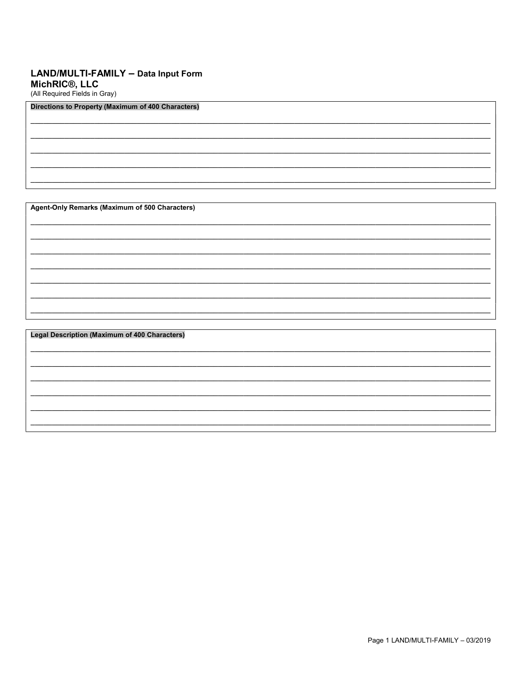## LAND/MULTI-FAMILY - Data Input Form MichRIC<sup>®</sup>, LLC

(All Required Fields in Gray)

### **Directions to Property (Maximum of 400 Characters)**

Agent-Only Remarks (Maximum of 500 Characters)

**Legal Description (Maximum of 400 Characters)**